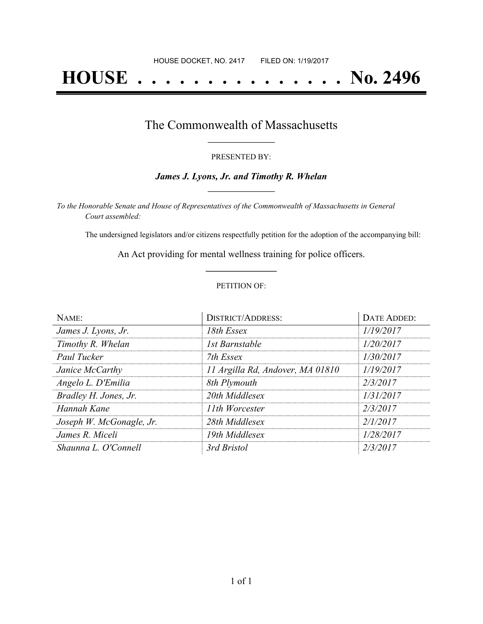# **HOUSE . . . . . . . . . . . . . . . No. 2496**

### The Commonwealth of Massachusetts **\_\_\_\_\_\_\_\_\_\_\_\_\_\_\_\_\_**

#### PRESENTED BY:

#### *James J. Lyons, Jr. and Timothy R. Whelan* **\_\_\_\_\_\_\_\_\_\_\_\_\_\_\_\_\_**

*To the Honorable Senate and House of Representatives of the Commonwealth of Massachusetts in General Court assembled:*

The undersigned legislators and/or citizens respectfully petition for the adoption of the accompanying bill:

An Act providing for mental wellness training for police officers. **\_\_\_\_\_\_\_\_\_\_\_\_\_\_\_**

#### PETITION OF:

| NAME:                    | <b>DISTRICT/ADDRESS:</b>         | DATE ADDED: |
|--------------------------|----------------------------------|-------------|
| James J. Lyons, Jr.      | 18th Essex                       | 1/19/2017   |
| Timothy R. Whelan        | 1st Barnstable                   | 1/20/2017   |
| Paul Tucker              | 7th Essex                        | 1/30/2017   |
| Janice McCarthy          | 11 Argilla Rd, Andover, MA 01810 | 1/19/2017   |
| Angelo L. D'Emilia       | 8th Plymouth                     | 2/3/2017    |
| Bradley H. Jones, Jr.    | 20th Middlesex                   | 1/31/2017   |
| Hannah Kane              | 11th Worcester                   | 2/3/2017    |
| Joseph W. McGonagle, Jr. | 28th Middlesex                   | 2/1/2017    |
| James R. Miceli          | 19th Middlesex                   | 1/28/2017   |
| Shaunna L. O'Connell     | 3rd Bristol                      | 2/3/2017    |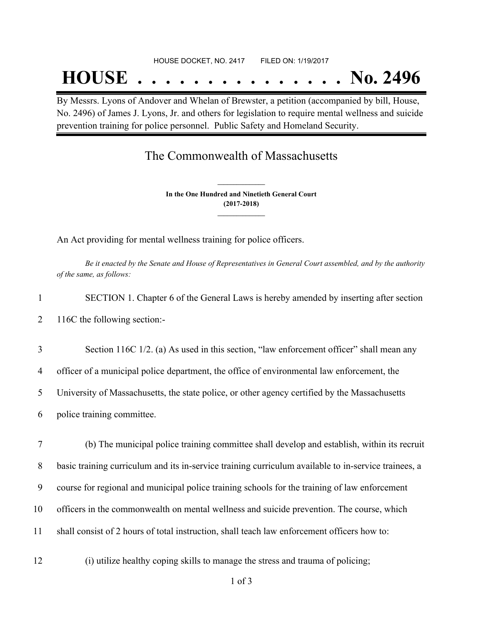#### HOUSE DOCKET, NO. 2417 FILED ON: 1/19/2017

## **HOUSE . . . . . . . . . . . . . . . No. 2496**

By Messrs. Lyons of Andover and Whelan of Brewster, a petition (accompanied by bill, House, No. 2496) of James J. Lyons, Jr. and others for legislation to require mental wellness and suicide prevention training for police personnel. Public Safety and Homeland Security.

## The Commonwealth of Massachusetts

**In the One Hundred and Ninetieth General Court (2017-2018) \_\_\_\_\_\_\_\_\_\_\_\_\_\_\_**

**\_\_\_\_\_\_\_\_\_\_\_\_\_\_\_**

An Act providing for mental wellness training for police officers.

Be it enacted by the Senate and House of Representatives in General Court assembled, and by the authority *of the same, as follows:*

- 1 SECTION 1. Chapter 6 of the General Laws is hereby amended by inserting after section 2 116C the following section:-
- 3 Section 116C 1/2. (a) As used in this section, "law enforcement officer" shall mean any

4 officer of a municipal police department, the office of environmental law enforcement, the

5 University of Massachusetts, the state police, or other agency certified by the Massachusetts

- 6 police training committee.
- 7 (b) The municipal police training committee shall develop and establish, within its recruit 8 basic training curriculum and its in-service training curriculum available to in-service trainees, a 9 course for regional and municipal police training schools for the training of law enforcement 10 officers in the commonwealth on mental wellness and suicide prevention. The course, which 11 shall consist of 2 hours of total instruction, shall teach law enforcement officers how to:
- 12 (i) utilize healthy coping skills to manage the stress and trauma of policing;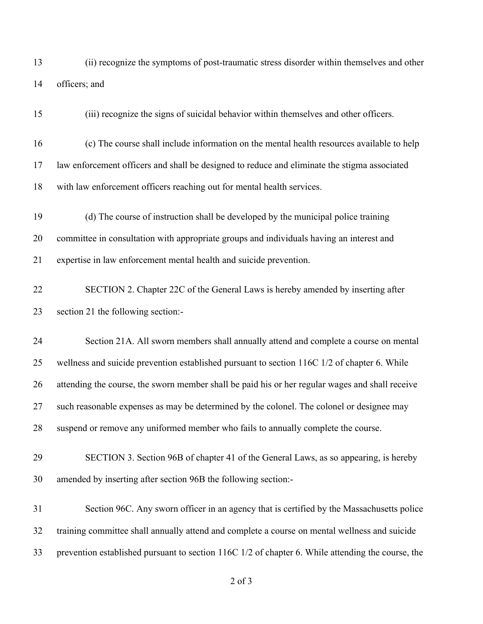(ii) recognize the symptoms of post-traumatic stress disorder within themselves and other officers; and

(iii) recognize the signs of suicidal behavior within themselves and other officers.

- (c) The course shall include information on the mental health resources available to help law enforcement officers and shall be designed to reduce and eliminate the stigma associated with law enforcement officers reaching out for mental health services.
- (d) The course of instruction shall be developed by the municipal police training committee in consultation with appropriate groups and individuals having an interest and expertise in law enforcement mental health and suicide prevention.
- SECTION 2. Chapter 22C of the General Laws is hereby amended by inserting after section 21 the following section:-
- Section 21A. All sworn members shall annually attend and complete a course on mental wellness and suicide prevention established pursuant to section 116C 1/2 of chapter 6. While attending the course, the sworn member shall be paid his or her regular wages and shall receive such reasonable expenses as may be determined by the colonel. The colonel or designee may suspend or remove any uniformed member who fails to annually complete the course.
- SECTION 3. Section 96B of chapter 41 of the General Laws, as so appearing, is hereby amended by inserting after section 96B the following section:-

 Section 96C. Any sworn officer in an agency that is certified by the Massachusetts police training committee shall annually attend and complete a course on mental wellness and suicide prevention established pursuant to section 116C 1/2 of chapter 6. While attending the course, the

of 3